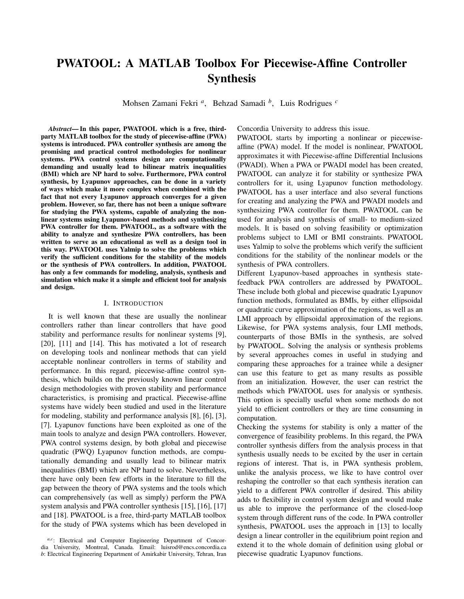# PWATOOL: A MATLAB Toolbox For Piecewise-Affine Controller Synthesis

Mohsen Zamani Fekri *<sup>a</sup>* , Behzad Samadi *<sup>b</sup>* , Luis Rodrigues *<sup>c</sup>*

*Abstract*— In this paper, PWATOOL which is a free, thirdparty MATLAB toolbox for the study of piecewise-affine (PWA) systems is introduced. PWA controller synthesis are among the promising and practical control methodologies for nonlinear systems. PWA control systems design are computationally demanding and usually lead to bilinear matrix inequalities (BMI) which are NP hard to solve. Furthermore, PWA control synthesis, by Lyapunov approaches, can be done in a variety of ways which make it more complex when combined with the fact that not every Lyapunov approach converges for a given problem. However, so far, there has not been a unique software for studying the PWA systems, capable of analyzing the nonlinear systems using Lyapunov-based methods and synthesizing PWA controller for them. PWATOOL, as a software with the ability to analyze and synthesize PWA controllers, has been written to serve as an educational as well as a design tool in this way. PWATOOL uses Yalmip to solve the problems which verify the sufficient conditions for the stability of the models or the synthesis of PWA controllers. In addition, PWATOOL has only a few commands for modeling, analysis, synthesis and simulation which make it a simple and efficient tool for analysis and design.

# I. INTRODUCTION

It is well known that these are usually the nonlinear controllers rather than linear controllers that have good stability and performance results for nonlinear systems [9], [20], [11] and [14]. This has motivated a lot of research on developing tools and nonlinear methods that can yield acceptable nonlinear controllers in terms of stability and performance. In this regard, piecewise-affine control synthesis, which builds on the previously known linear control design methodologies with proven stability and performance characteristics, is promising and practical. Piecewise-affine systems have widely been studied and used in the literature for modeling, stability and performance analysis [8], [6], [3], [7]. Lyapunov functions have been exploited as one of the main tools to analyze and design PWA controllers. However, PWA control systems design, by both global and piecewise quadratic (PWQ) Lyapunov function methods, are computationally demanding and usually lead to bilinear matrix inequalities (BMI) which are NP hard to solve. Nevertheless, there have only been few efforts in the literature to fill the gap between the theory of PWA systems and the tools which can comprehensively (as well as simply) perform the PWA system analysis and PWA controller synthesis [15], [16], [17] and [18]. PWATOOL is a free, third-party MATLAB toolbox for the study of PWA systems which has been developed in

Concordia University to address this issue.

PWATOOL starts by importing a nonlinear or piecewiseaffine (PWA) model. If the model is nonlinear, PWATOOL approximates it with Piecewise-affine Differential Inclusions (PWADI). When a PWA or PWADI model has been created, PWATOOL can analyze it for stability or synthesize PWA controllers for it, using Lyapunov function methodology. PWATOOL has a user interface and also several functions for creating and analyzing the PWA and PWADI models and synthesizing PWA controller for them. PWATOOL can be used for analysis and synthesis of small- to medium-sized models. It is based on solving feasibility or optimization problems subject to LMI or BMI constraints. PWATOOL uses Yalmip to solve the problems which verify the sufficient conditions for the stability of the nonlinear models or the synthesis of PWA controllers.

Different Lyapunov-based approaches in synthesis statefeedback PWA controllers are addressed by PWATOOL. These include both global and piecewise quadratic Lyapunov function methods, formulated as BMIs, by either ellipsoidal or quadratic curve approximation of the regions, as well as an LMI approach by ellipsoidal approximation of the regions. Likewise, for PWA systems analysis, four LMI methods, counterparts of those BMIs in the synthesis, are solved by PWATOOL. Solving the analysis or synthesis problems by several approaches comes in useful in studying and comparing these approaches for a trainee while a designer can use this feature to get as many results as possible from an initialization. However, the user can restrict the methods which PWATOOL uses for analysis or synthesis. This option is specially useful when some methods do not yield to efficient controllers or they are time consuming in computation.

Checking the systems for stability is only a matter of the convergence of feasibility problems. In this regard, the PWA controller synthesis differs from the analysis process in that synthesis usually needs to be excited by the user in certain regions of interest. That is, in PWA synthesis problem, unlike the analysis process, we like to have control over reshaping the controller so that each synthesis iteration can yield to a different PWA controller if desired. This ability adds to flexibility in control system design and would make us able to improve the performance of the closed-loop system through different runs of the code. In PWA controller synthesis, PWATOOL uses the approach in [13] to locally design a linear controller in the equilibrium point region and extend it to the whole domain of definition using global or piecewise quadratic Lyapunov functions.

a,c: Electrical and Computer Engineering Department of Concordia University, Montreal, Canada. Email: luisrod@encs.concordia.ca *b*: Electrical Engineering Department of Amirkabir University, Tehran, Iran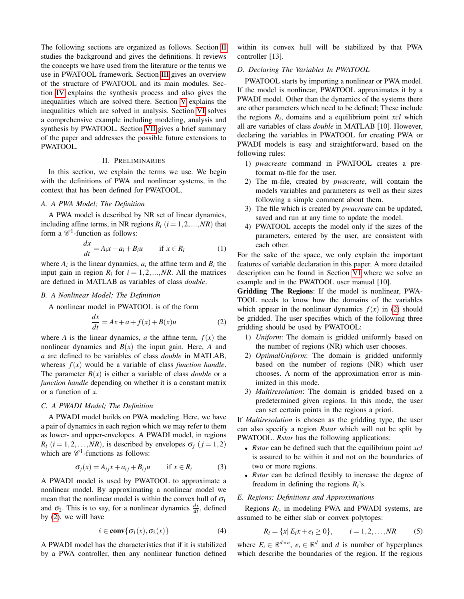The following sections are organized as follows. Section [II](#page-1-0) studies the background and gives the definitions. It reviews the concepts we have used from the literature or the terms we use in PWATOOL framework. Section [III](#page-2-0) gives an overview of the structure of PWATOOL and its main modules. Section [IV](#page-2-1) explains the synthesis process and also gives the inequalities which are solved there. Section [V](#page-4-0) explains the inequalities which are solved in analysis. Section [VI](#page-4-1) solves a comprehensive example including modeling, analysis and synthesis by PWATOOL. Section [VII](#page-8-0) gives a brief summary of the paper and addresses the possible future extensions to PWATOOL.

# II. PRELIMINARIES

<span id="page-1-0"></span>In this section, we explain the terms we use. We begin with the definitions of PWA and nonlinear systems, in the context that has been defined for PWATOOL.

# *A. A PWA Model; The Definition*

A PWA model is described by NR set of linear dynamics, including affine terms, in NR regions  $R_i$  ( $i = 1, 2, ..., NR$ ) that form a  $\mathscr{C}^1$ -function as follows:

$$
\frac{dx}{dt} = A_i x + a_i + B_i u \qquad \text{if } x \in R_i \tag{1}
$$

where  $A_i$  is the linear dynamics,  $a_i$  the affine term and  $B_i$  the input gain in region  $R_i$  for  $i = 1, 2, ..., NR$ . All the matrices are defined in MATLAB as variables of class *double*.

# *B. A Nonlinear Model; The Definition*

A nonlinear model in PWATOOL is of the form

<span id="page-1-1"></span>
$$
\frac{dx}{dt} = Ax + a + f(x) + B(x)u
$$
 (2)

where *A* is the linear dynamics, *a* the affine term,  $f(x)$  the nonlinear dynamics and *B*(*x*) the input gain. Here, *A* and *a* are defined to be variables of class *double* in MATLAB, whereas  $f(x)$  would be a variable of class *function handle*. The parameter  $B(x)$  is either a variable of class *double* or a *function handle* depending on whether it is a constant matrix or a function of *x*.

# *C. A PWADI Model; The Definition*

A PWADI model builds on PWA modeling. Here, we have a pair of dynamics in each region which we may refer to them as lower- and upper-envelopes. A PWADI model, in regions  $R_i$  (*i* = 1,2,...,*NR*), is described by envelopes  $\sigma_i$  (*j* = 1,2) which are  $\mathscr{C}^1$ -functions as follows:

<span id="page-1-2"></span>
$$
\sigma_j(x) = A_{ij}x + a_{ij} + B_{ij}u \qquad \text{if } x \in R_i \tag{3}
$$

A PWADI model is used by PWATOOL to approximate a nonlinear model. By approximating a nonlinear model we mean that the nonlinear model is within the convex hull of  $\sigma_1$ and  $\sigma_2$ . This is to say, for a nonlinear dynamics  $\frac{dx}{dt}$ , defined by [\(2\)](#page-1-1), we will have

$$
\dot{x} \in \mathbf{conv}\{\sigma_1(x), \sigma_2(x)\}\tag{4}
$$

A PWADI model has the characteristics that if it is stabilized by a PWA controller, then any nonlinear function defined within its convex hull will be stabilized by that PWA controller [13].

## *D. Declaring The Variables In PWATOOL*

PWATOOL starts by importing a nonlinear or PWA model. If the model is nonlinear, PWATOOL approximates it by a PWADI model. Other than the dynamics of the systems there are other parameters which need to be defined; These include the regions *R<sup>i</sup>* , domains and a equilibrium point *xcl* which all are variables of class *double* in MATLAB [10]. However, declaring the variables in PWATOOL for creating PWA or PWADI models is easy and straightforward, based on the following rules:

- 1) *pwacreate* command in PWATOOL creates a preformat m-file for the user.
- 2) The m-file, created by *pwacreate*, will contain the models variables and parameters as well as their sizes following a simple comment about them.
- 3) The file which is created by *pwacreate* can be updated, saved and run at any time to update the model.
- 4) PWATOOL accepts the model only if the sizes of the parameters, entered by the user, are consistent with each other.

For the sake of the space, we only explain the important features of variable declaration in this paper. A more detailed description can be found in Section [VI](#page-4-1) where we solve an example and in the PWATOOL user manual [10].

Gridding The Regions: If the model is nonlinear, PWA-TOOL needs to know how the domains of the variables which appear in the nonlinear dynamics  $f(x)$  in [\(2\)](#page-1-1) should be gridded. The user specifies which of the following three gridding should be used by PWATOOL:

- 1) *Uniform*: The domain is gridded uniformly based on the number of regions (NR) which user chooses.
- 2) *OptimalUniform*: The domain is gridded uniformly based on the number of regions (NR) which user chooses. A norm of the approximation error is minimized in this mode.
- 3) *Multiresolution*: The domain is gridded based on a predetermined given regions. In this mode, the user can set certain points in the regions a priori.

If *Multiresolution* is chosen as the gridding type, the user can also specify a region *Rstar* which will not be split by PWATOOL. *Rstar* has the following applications:

- *Rstar* can be defined such that the equilibrium point *xcl* is assured to be within it and not on the boundaries of two or more regions.
- *Rstar* can be defined flexibly to increase the degree of freedom in defining the regions *Ri*'s.

#### *E. Regions; Definitions and Approximations*

Regions *R<sup>i</sup>* , in modeling PWA and PWADI systems, are assumed to be either slab or convex polytopes:

<span id="page-1-3"></span>
$$
R_i = \{x | E_i x + e_i \ge 0\}, \qquad i = 1, 2, ..., NR
$$
 (5)

where  $E_i \in \mathbb{R}^{d \times n}$ ,  $e_i \in \mathbb{R}^d$  and *d* is number of hyperplanes which describe the boundaries of the region. If the regions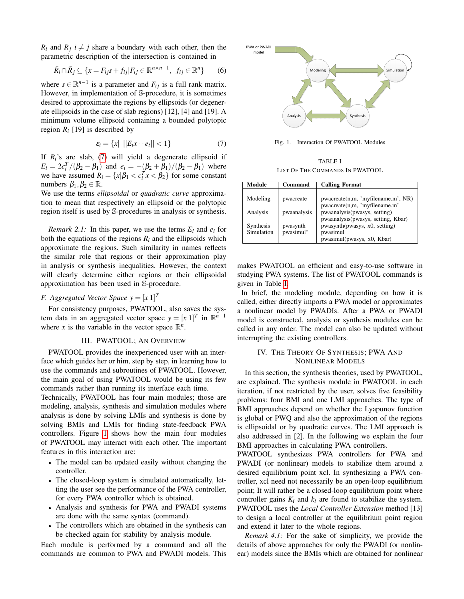$R_i$  and  $R_j$  *i*  $\neq$  *j* share a boundary with each other, then the parametric description of the intersection is contained in

<span id="page-2-5"></span>
$$
\bar{R}_i \cap \bar{R}_j \subseteq \{ x = F_{ij} s + f_{ij} | F_{ij} \in \mathbb{R}^{n \times n-1}, f_{ij} \in \mathbb{R}^n \}
$$
 (6)

where  $s \in \mathbb{R}^{n-1}$  is a parameter and  $F_{ij}$  is a full rank matrix. However, in implementation of S-procedure, it is sometimes desired to approximate the regions by ellipsoids (or degenerate ellipsoids in the case of slab regions) [12], [4] and [19]. A minimum volume ellipsoid containing a bounded polytopic region  $R_i$  [19] is described by

<span id="page-2-2"></span>
$$
\varepsilon_i = \{x \mid ||E_ix + e_i|| < 1\} \tag{7}
$$

If  $R_i$ 's are slab, [\(7\)](#page-2-2) will yield a degenerate ellipsoid if  $E_i = 2c_i^T/(\beta_2 - \beta_1)$  and  $e_i = -(\beta_2 + \beta_1)/(\beta_2 - \beta_1)$  where we have assumed  $R_i = \{x | \beta_1 < c_i^T x < \beta_2\}$  for some constant numbers  $β_1, β_2 \in \mathbb{R}$ .

We use the terms *ellipsoidal* or *quadratic curve* approximation to mean that respectively an ellipsoid or the polytopic region itself is used by S-procedures in analysis or synthesis.

*Remark 2.1:* In this paper, we use the terms  $E_i$  and  $e_i$  for both the equations of the regions  $R_i$  and the ellipsoids which approximate the regions. Such similarity in names reflects the similar role that regions or their approximation play in analysis or synthesis inequalities. However, the context will clearly determine either regions or their ellipsoidal approximation has been used in S-procedure.

# *F.* Aggregated Vector Space  $y = [x 1]^T$

For consistency purposes, PWATOOL, also saves the system data in an aggregated vector space  $y = [x \; 1]^T$  in  $\mathbb{R}^{n+1}$ where *x* is the variable in the vector space  $\mathbb{R}^n$ .

#### III. PWATOOL; AN OVERVIEW

<span id="page-2-0"></span>PWATOOL provides the inexperienced user with an interface which guides her or him, step by step, in learning how to use the commands and subroutines of PWATOOL. However, the main goal of using PWATOOL would be using its few commands rather than running its interface each time.

Technically, PWATOOL has four main modules; those are modeling, analysis, synthesis and simulation modules where analysis is done by solving LMIs and synthesis is done by solving BMIs and LMIs for finding state-feedback PWA controllers. Figure [1](#page-2-3) shows how the main four modules of PWATOOL may interact with each other. The important features in this interaction are:

- The model can be updated easily without changing the controller.
- The closed-loop system is simulated automatically, letting the user see the performance of the PWA controller, for every PWA controller which is obtained.
- Analysis and synthesis for PWA and PWADI systems are done with the same syntax (command).
- The controllers which are obtained in the synthesis can be checked again for stability by analysis module.

Each module is performed by a command and all the commands are common to PWA and PWADI models. This



<span id="page-2-3"></span>Fig. 1. Interaction Of PWATOOL Modules

TABLE I LIST OF THE COMMANDS IN PWATOOL

<span id="page-2-4"></span>

| <b>Module</b> | Command     | <b>Calling Format</b>                                               |
|---------------|-------------|---------------------------------------------------------------------|
| Modeling      | pwacreate   | pwacreate(n,m, 'myfilename.m', NR)                                  |
| Analysis      | pwaanalysis | pwacreate(n,m, 'myfilename.m'<br>pwaanalysis(pwasys, setting)       |
| Synthesis     | pwasynth    | pwaanalysis(pwasys, setting, Kbar)<br>pwasynth(pwasys, x0, setting) |
| Simulation    | pwasimul*   | pwasimul                                                            |
|               |             | pwasimul(pwasys, x0, Kbar)                                          |

makes PWATOOL an efficient and easy-to-use software in studying PWA systems. The list of PWATOOL commands is given in Table [I.](#page-2-4)

In brief, the modeling module, depending on how it is called, either directly imports a PWA model or approximates a nonlinear model by PWADIs. After a PWA or PWADI model is constructed, analysis or synthesis modules can be called in any order. The model can also be updated without interrupting the existing controllers.

# <span id="page-2-1"></span>IV. THE THEORY OF SYNTHESIS; PWA AND NONLINEAR MODELS

In this section, the synthesis theories, used by PWATOOL, are explained. The synthesis module in PWATOOL in each iteration, if not restricted by the user, solves five feasibility problems: four BMI and one LMI approaches. The type of BMI approaches depend on whether the Lyapunov function is global or PWQ and also the approximation of the regions is ellipsoidal or by quadratic curves. The LMI approach is also addressed in [2]. In the following we explain the four BMI approaches in calculating PWA controllers.

PWATOOL synthesizes PWA controllers for PWA and PWADI (or nonlinear) models to stabilize them around a desired equilibrium point xcl. In synthesizing a PWA controller, xcl need not necessarily be an open-loop equilibrium point; It will rather be a closed-loop equilibrium point where controller gains  $K_i$  and  $k_i$  are found to stabilize the system. PWATOOL uses the *Local Controller Extension* method [13] to design a local controller at the equilibrium point region and extend it later to the whole regions.

*Remark 4.1:* For the sake of simplicity, we provide the details of above approaches for only the PWADI (or nonlinear) models since the BMIs which are obtained for nonlinear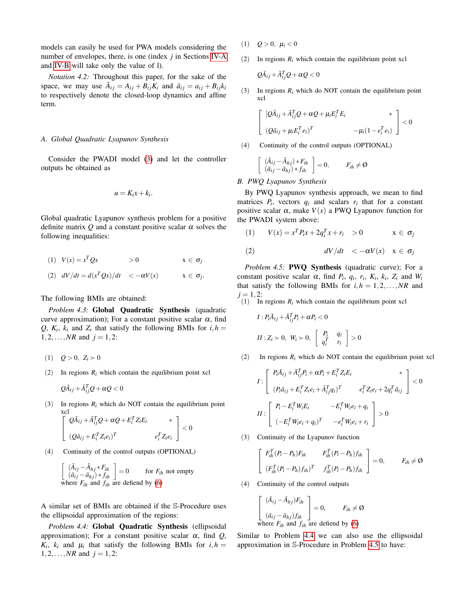models can easily be used for PWA models considering the number of envelopes, there, is one (index *j* in Sections [IV-A](#page-3-0) and [IV-B](#page-3-1) will take only the value of l).

*Notation 4.2:* Throughout this paper, for the sake of the space, we may use  $\overline{A}_{ij} = A_{ij} + B_{ij}K_i$  and  $\overline{a}_{ij} = a_{ij} + B_{ij}k_i$ to respectively denote the closed-loop dynamics and affine term.

#### <span id="page-3-0"></span>*A. Global Quadratic Lyapunov Synthesis*

Consider the PWADI model [\(3\)](#page-1-2) and let the controller outputs be obtained as

$$
u=K_ix+k_i.
$$

Global quadratic Lyapunov synthesis problem for a positive definite matrix  $Q$  and a constant positive scalar  $\alpha$  solves the following inequalities:

$$
(1) V(x) = x^T Q x \qquad \qquad > 0 \qquad \qquad x \in \sigma_j
$$

(2) 
$$
dV/dt = d(x^T Qx)/dt < -\alpha V(x) \qquad x \in \sigma_j.
$$

The following BMIs are obtained:

*Problem 4.3:* Global Quadratic Synthesis (quadratic curve approximation); For a constant positive scalar  $\alpha$ , find *Q*,  $K_i$ ,  $k_i$  and  $Z_i$  that satisfy the following BMIs for  $i, h =$  $1, 2, \ldots, NR$  and  $j = 1, 2$ :

$$
(1) \quad Q > 0, \ Z_i \succ 0
$$

(2) In regions  $R_i$  which contain the equilibrium point xcl

$$
Q\bar{A}_{ij} + \bar{A}_{ij}^T Q + \alpha Q < 0
$$

(3) In regions  $R_i$  which do NOT contain the equilibrium point

$$
\begin{bmatrix}\n\Omega & \n\begin{bmatrix}\nQ\overline{A}_{ij} + \overline{A}_{ij}^T Q + \alpha Q + E_i^T Z_i E_i & * \\
(Q\overline{A}_{ij} + E_i^T Z_i e_i)^T & e_i^T Z_i e_i\n\end{bmatrix} < 0\n\end{bmatrix}
$$

(4) Continuity of the control outputs (OPTIONAL)

$$
\begin{bmatrix}\n(\bar{A}_{ij} - \bar{A}_{hj} * F_{ih} \\
(\bar{a}_{ij} - \bar{a}_{hj}) * f_{ih}\n\end{bmatrix} = 0
$$
 for  $F_{ih}$  not empty  
where  $F_{ih}$  and  $f_{ih}$  are defined by (6)

A similar set of BMIs are obtained if the S-Procedure uses the ellipsoidal approximation of the regions:

*Problem 4.4:* Global Quadratic Synthesis (ellipsoidal approximation); For a constant positive scalar  $\alpha$ , find  $Q$ ,  $K_i$ ,  $k_i$  and  $\mu_i$  that satisfy the following BMIs for  $i, h =$  $1, 2, \ldots, NR$  and  $j = 1, 2$ :

- (1)  $Q > 0$ ,  $\mu_i < 0$
- (2) In regions  $R_i$  which contain the equilibrium point xcl

$$
Q\bar A_{ij}+\bar A_{ij}^TQ+\alpha Q<0
$$

(3) In regions  $R_i$  which do NOT contain the equilibrium point xcl

$$
\begin{bmatrix}\n[\mathcal{Q}\bar{A}_{ij} + \bar{A}_{ij}^T \mathcal{Q} + \alpha \mathcal{Q} + \mu_i E_i^T E_i & * \\
(\mathcal{Q}\bar{a}_{ij} + \mu_i E_i^T e_i)^T & -\mu_i(1 - e_i^T e_i)\n\end{bmatrix} < 0
$$

(4) Continuity of the control outputs (OPTIONAL)

$$
\begin{array}{cc} (\bar{A}_{ij} - \bar{A}_{hj}) * F_{ih} \\ (\bar{a}_{ij} - \bar{a}_{hj}) * f_{ih} \end{array} = 0, \qquad F_{ih} \neq \emptyset
$$

#### <span id="page-3-1"></span>*B. PWQ Lyapunov Synthesis*

 $\lceil$ 

By PWQ Lyapunov synthesis approach, we mean to find matrices  $P_i$ , vectors  $q_i$  and scalars  $r_i$  that for a constant positive scalar  $\alpha$ , make  $V(x)$  a PWQ Lyapunov function for the PWADI system above:

$$
(1) \tV(x) = x^T P_i x + 2q_i^T x + r_i > 0 \t x \in \sigma_j
$$

<span id="page-3-3"></span>
$$
(2) \t\t dV/dt < -\alpha V(x) \t x \in \sigma_j
$$

<span id="page-3-4"></span>*Problem 4.5:* **PWQ Synthesis** (quadratic curve); For a constant positive scalar  $\alpha$ , find  $P_i$ ,  $q_i$ ,  $r_i$ ,  $K_i$ ,  $K_i$ ,  $Z_i$  and  $W_i$ that satisfy the following BMIs for  $i, h = 1, 2, ..., NR$  and  $j = 1, 2$ :

(1) In regions  $R_i$  which contain the equilibrium point xcl

$$
I: P_i \overline{A}_{ij} + \overline{A}_{ij}^T P_i + \alpha P_i < 0
$$
\n
$$
II: Z_i \succ 0, \ W_i \succ 0, \ \begin{bmatrix} P_i & q_i \\ q_i^T & r_i \end{bmatrix} > 0
$$

(2) In regions  $R_i$  which do NOT contain the equilibrium point xcl

$$
I: \begin{bmatrix} P_i \bar{A}_{ij} + \bar{A}_{ij}^T P_i + \alpha P_i + E_i^T Z_i E_i & * \\ (P_i \bar{a}_{ij} + E_i^T Z_i e_i + \bar{A}_{ij}^T q_i)^T & e_i^T Z_i e_i + 2q_i^T \bar{a}_{ij} \end{bmatrix} < 0
$$
  

$$
II: \begin{bmatrix} P_i - E_i^T W_i E_i & -E_i^T W_i e_i + q_i \\ (-E_i^T W_i e_i + q_i)^T & -e_i^T W_i e_i + r_i \end{bmatrix} > 0
$$

(3) Continuity of the Lyapunov function

$$
\begin{bmatrix}\nF_{ih}^T(P_i - P_h)F_{ih} & F_{ih}^T(P_i - P_h)f_{ih} \\
(F_{ih}^T(P_i - P_h)f_{ih})^T & f_{ih}^T(P_i - P_h)f_{ih}\n\end{bmatrix} = 0, \qquad F_{ih} \neq \emptyset
$$

(4) Continuity of the control outputs

$$
\begin{bmatrix}\n(\bar{A}_{ij} - \bar{A}_{hj})F_{ih} \\
(\bar{a}_{ij} - \bar{a}_{hj})f_{ih}\n\end{bmatrix} = 0, \tF_{ih} \neq \emptyset
$$
\nwhere  $F_{ih}$  and  $f_{ih}$  are defined by (6)

<span id="page-3-5"></span><span id="page-3-2"></span>Similar to Problem [4.4](#page-3-2) we can also use the ellipsoidal approximation in S-Procedure in Problem [4.5](#page-3-3) to have: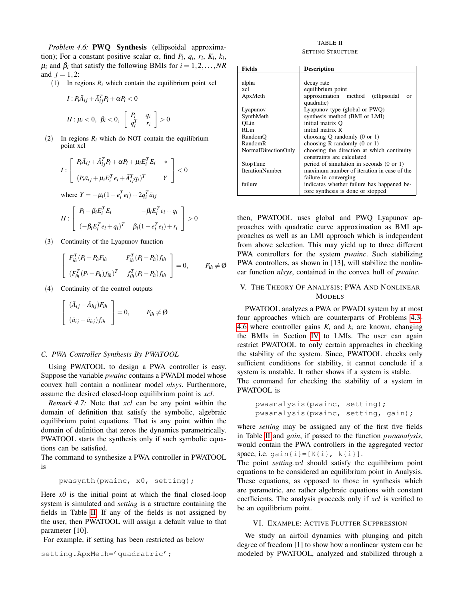*Problem 4.6:* **PWQ** Synthesis (ellipsoidal approximation); For a constant positive scalar  $\alpha$ , find  $P_i$ ,  $q_i$ ,  $r_i$ ,  $K_i$ ,  $k_i$ ,  $\mu_i$  and  $\beta_i$  that satisfy the following BMIs for  $i = 1, 2, ..., NR$ and  $j = 1, 2$ :

(1) In regions  $R_i$  which contain the equilibrium point xcl

$$
I: P_i \overline{A}_{ij} + \overline{A}_{ij}^T P_i + \alpha P_i < 0
$$
\n
$$
II: \mu_i < 0, \ \beta_i < 0, \ \left[ \begin{array}{cc} P_i & q_i \\ q_i^T & r_i \end{array} \right] > 0
$$

(2) In regions  $R_i$  which do NOT contain the equilibrium point xcl

$$
I: \begin{bmatrix} P_i \bar{A}_{ij} + \bar{A}_{ij}^T P_i + \alpha P_i + \mu_i E_i^T E_i & * \\ (P_i \bar{a}_{ij} + \mu_i E_i^T e_i + \bar{A}_{ij}^T q_i)^T & Y \end{bmatrix} < 0
$$

where  $Y = -\mu_i(1 - e_i^T e_i) + 2q_i^T \bar{a}_{ij}$ 

$$
II: \begin{bmatrix} P_i - \beta_i E_i^T E_i & -\beta_i E_i^T e_i + q_i \\ (-\beta_i E_i^T e_i + q_i)^T & \beta_i (1 - e_i^T e_i) + r_i \end{bmatrix} > 0
$$

(3) Continuity of the Lyapunov function

$$
\begin{bmatrix}\nF_{ih}^T (P_i - P_h F_{ih} & F_{ih}^T (P_i - P_h) f_{ih} \\
(F_{ih}^T (P_i - P_h) f_{ih})^T & f_{ih}^T (P_i - P_h) f_{ih}\n\end{bmatrix} = 0, \qquad F_{ih} \neq \emptyset
$$

(4) Continuity of the control outputs

$$
\begin{bmatrix}\n(\bar{A}_{ij} - \bar{A}_{hj})F_{ih} \\
(\bar{a}_{ij} - \bar{a}_{hj})f_{ih}\n\end{bmatrix} = 0, \qquad F_{ih} \neq \emptyset
$$

## *C. PWA Controller Synthesis By PWATOOL*

Using PWATOOL to design a PWA controller is easy. Suppose the variable *pwainc* contains a PWADI model whose convex hull contain a nonlinear model *nlsys*. Furthermore, assume the desired closed-loop equilibrium point is *xcl*.

*Remark 4.7:* Note that *xcl* can be any point within the domain of definition that satisfy the symbolic, algebraic equilibrium point equations. That is any point within the domain of definition that zeros the dynamics parametrically. PWATOOL starts the synthesis only if such symbolic equations can be satisfied.

The command to synthesize a PWA controller in PWATOOL is

pwasynth(pwainc, x0, setting);

Here  $x0$  is the initial point at which the final closed-loop system is simulated and *setting* is a structure containing the fields in Table [II.](#page-4-2) If any of the fields is not assigned by the user, then PWATOOL will assign a default value to that parameter [10].

For example, if setting has been restricted as below

setting.ApxMeth='quadratric';

TABLE II SETTING STRUCTURE

|  | <b>SETTING STRUCTURE</b> |  |
|--|--------------------------|--|
|  |                          |  |
|  |                          |  |
|  |                          |  |

<span id="page-4-2"></span>

| <b>Fields</b>          | <b>Description</b>                                  |  |  |  |  |
|------------------------|-----------------------------------------------------|--|--|--|--|
|                        |                                                     |  |  |  |  |
| alpha                  | decay rate                                          |  |  |  |  |
| xcl                    | equilibrium point                                   |  |  |  |  |
| ApxMeth                | approximation method<br>(ellipsoidal)<br>or         |  |  |  |  |
|                        | quadratic)                                          |  |  |  |  |
| Lyapunov               | Lyapunov type (global or PWQ)                       |  |  |  |  |
| SynthMeth              | synthesis method (BMI or LMI)                       |  |  |  |  |
| QLin                   | initial matrix O                                    |  |  |  |  |
| RL <sub>in</sub>       | initial matrix R                                    |  |  |  |  |
| RandomO                | choosing Q randomly $(0 \text{ or } 1)$             |  |  |  |  |
| RandomR                | choosing R randomly $(0 \text{ or } 1)$             |  |  |  |  |
| NormalDirectionOnly    | choosing the direction at which continuity          |  |  |  |  |
|                        | constraints are calculated                          |  |  |  |  |
| StopTime               | period of simulation in seconds $(0 \text{ or } 1)$ |  |  |  |  |
| <b>IterationNumber</b> | maximum number of iteration in case of the          |  |  |  |  |
|                        | failure in converging                               |  |  |  |  |
| failure                | indicates whether failure has happened be-          |  |  |  |  |
|                        | fore synthesis is done or stopped                   |  |  |  |  |

then, PWATOOL uses global and PWQ Lyapunov approaches with quadratic curve approximation as BMI approaches as well as an LMI approach which is independent from above selection. This may yield up to three different PWA controllers for the system *pwainc*. Such stabilizing PWA controllers, as shown in [13], will stabilize the nonlinear function *nlsys*, contained in the convex hull of *pwainc*.

# <span id="page-4-0"></span>V. THE THEORY OF ANALYSIS; PWA AND NONLINEAR MODELS

PWATOOL analyzes a PWA or PWADI system by at most four approaches which are counterparts of Problems [4.3-](#page-3-4) [4.6](#page-3-5) where controller gains  $K_i$  and  $k_i$  are known, changing the BMIs in Section [IV](#page-2-1) to LMIs. The user can again restrict PWATOOL to only certain approaches in checking the stability of the system. Since, PWATOOL checks only sufficient conditions for stability, it cannot conclude if a system is unstable. It rather shows if a system is stable.

The command for checking the stability of a system in PWATOOL is

```
pwaanalysis(pwainc, setting);
pwaanalysis(pwainc, setting, gain);
```
where *setting* may be assigned any of the first five fields in Table [II](#page-4-2) and *gain*, if passed to the function *pwaanalysis*, would contain the PWA controllers in the aggregated vector space, i.e.  $qain[i] = [K[i], k[i]].$ 

The point *setting.xcl* should satisfy the equilibrium point equations to be considered an equilibrium point in Analysis. These equations, as opposed to those in synthesis which are parametric, are rather algebraic equations with constant coefficients. The analysis proceeds only if *xcl* is verified to be an equilibrium point.

## VI. EXAMPLE: ACTIVE FLUTTER SUPPRESSION

<span id="page-4-1"></span>We study an airfoil dynamics with plunging and pitch degree of freedom [1] to show how a nonlinear system can be modeled by PWATOOL, analyzed and stabilized through a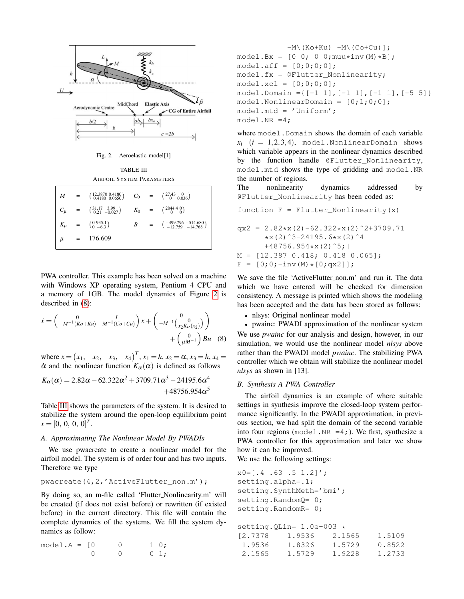

<span id="page-5-0"></span>Fig. 2. Aeroelastic model[1]

TABLE III AIRFOIL SYSTEM PARAMETERS

<span id="page-5-2"></span>

|  | $M = \begin{pmatrix} 12.3870 & 0.4180 \\ 0.4180 & 0.0650 \end{pmatrix}$ $C_0 = \begin{pmatrix} 27.43 & 0 \\ 0 & 0.036 \end{pmatrix}$  |  |                                                                              |
|--|---------------------------------------------------------------------------------------------------------------------------------------|--|------------------------------------------------------------------------------|
|  | $C_{\mu}$ = $\begin{pmatrix} 31.17 & 3.99 \\ 0.21 & -0.027 \end{pmatrix}$ $K_0$ = $\begin{pmatrix} 2844.4 & 0 \\ 0 & 0 \end{pmatrix}$ |  |                                                                              |
|  | $K_{\mu}$ = $\begin{pmatrix} 0 & 935.1 \\ 0 & -6.3 \end{pmatrix}$                                                                     |  | $B = \begin{pmatrix} -499.796 & -514.680 \\ -12.759 & -14.768 \end{pmatrix}$ |
|  | $\mu$ = 176.609                                                                                                                       |  |                                                                              |

PWA controller. This example has been solved on a machine with Windows XP operating system, Pentium 4 CPU and a memory of 1GB. The model dynamics of Figure [2](#page-5-0) is described in [\(8\)](#page-5-1):

<span id="page-5-1"></span>
$$
\dot{x} = \begin{pmatrix} 0 & I \\ -M^{-1}(Ko + Ku) & -M^{-1}(Co + Cu) \end{pmatrix} x + \begin{pmatrix} 0 & 0 \\ -M^{-1} \begin{pmatrix} 0 & 0 \\ x_2 K_{\alpha}(x_2) \end{pmatrix} + \begin{pmatrix} 0 \\ \mu M^{-1} \end{pmatrix} Bu \quad (8)
$$

where  $x = (x_1, x_2, x_3, x_4)^T$ ,  $x_1 = h, x_2 = \alpha, x_3 = \dot{h}, x_4 =$  $\alpha$  and the nonlinear function  $K_{\alpha}(\alpha)$  is defined as follows

$$
K_{\alpha}(\alpha) = 2.82\alpha - 62.322\alpha^{2} + 3709.71\alpha^{3} - 24195.6\alpha^{4} + 48756.954\alpha^{5}
$$

Table [III](#page-5-2) shows the parameters of the system. It is desired to stabilize the system around the open-loop equilibrium point  $x = [0, 0, 0, 0]^T$ .

# *A. Approximating The Nonlinear Model By PWADIs*

We use pwacreate to create a nonlinear model for the airfoil model. The system is of order four and has two inputs. Therefore we type

```
pwacreate(4,2,'ActiveFlutter_non.m');
```
By doing so, an m-file called 'Flutter Nonlinearity.m' will be created (if does not exist before) or rewritten (if existed before) in the current directory. This file will contain the complete dynamics of the systems. We fill the system dynamics as follow:

| $model.A = [0$ |  | $\bigcap$ | $1\quad0$ ; |  |
|----------------|--|-----------|-------------|--|
|                |  | $\bigcap$ | $0\;1;$     |  |

 $-M\ (Ko+Ku) -M\ (Co+Cu)\$ ;  $model.Bx = [0 0; 0 0;$  muu\*inv(M)\*B];  $model.aff = [0;0;0;0];$ model.fx = @Flutter\_Nonlinearity;  $model.xcl = [0;0;0;0];$ model.Domain = $\{[-1 \ 1], [-1 \ 1], [-1 \ 1], [-5 \ 5]\}$  $model.Nonlinearbonain = [0;1;0;0];$ model.mtd = 'Uniform'; model.NR =4;

where model. Domain shows the domain of each variable  $x_i$   $(i = 1, 2, 3, 4)$ , model. Nonlinear Domain shows which variable appears in the nonlinear dynamics described by the function handle @Flutter\_Nonlinearity, model.mtd shows the type of gridding and model.NR the number of regions.

The nonlinearity dynamics addressed by @Flutter\_Nonlinearity has been coded as:

$$
function F = Flutter\_Nonlinearity(x)
$$

$$
qx2 = 2.82*x(2)-62.322*x(2)^2+3709.71\n*x(2)^3-24195.6*x(2)^4\n+48756.954*x(2)^5; |\nM = [12.387 0.418; 0.418 0.065];\nF = [0;0;-inv(M)*(0;qx2)];
$$

We save the file 'ActiveFlutter\_non.m' and run it. The data which we have entered will be checked for dimension consistency. A message is printed which shows the modeling has been accepted and the data has been stored as follows:

• nlsys: Original nonlinear model

• pwainc: PWADI approximation of the nonlinear system We use *pwainc* for our analysis and design, however, in our simulation, we would use the nonlinear model *nlsys* above rather than the PWADI model *pwainc*. The stabilizing PWA controller which we obtain will stabilize the nonlinear model *nlsys* as shown in [13].

# <span id="page-5-3"></span>*B. Synthesis A PWA Controller*

The airfoil dynamics is an example of where suitable settings in synthesis improve the closed-loop system performance significantly. In the PWADI approximation, in previous section, we had split the domain of the second variable into four regions (model.NR =4;). We first, synthesize a PWA controller for this approximation and later we show how it can be improved.

We use the following settings:

```
x0=[.4 \t .63 \t .5 \t 1.2]';
setting.alpha=.1;
setting.SynthMeth='bmi';
setting.RandomQ= 0;
setting.RandomR= 0;
setting.QLin= 1.0e+003 *
[2.7378 1.9536 2.1565 1.5109
1.9536 1.8326 1.5729 0.8522
2.1565 1.5729 1.9228 1.2733
```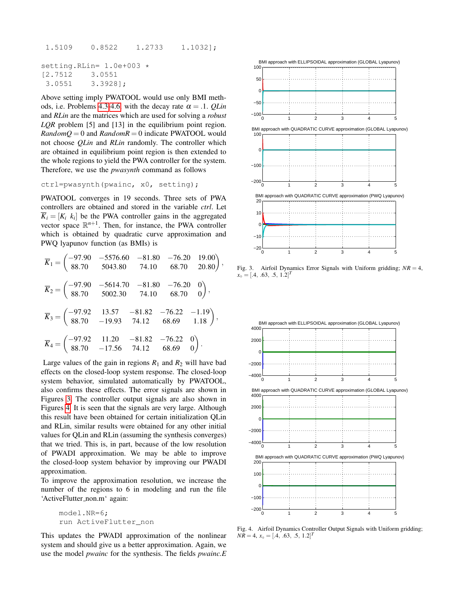1.5109 0.8522 1.2733 1.1032];

```
setting.RLin= 1.0e+003 *
[2.7512 3.0551
3.0551 3.3928];
```
Above setting imply PWATOOL would use only BMI meth-ods, i.e. Problems [4.3-](#page-3-4)[4.6,](#page-3-5) with the decay rate  $\alpha = .1$ . *QLin* and *RLin* are the matrices which are used for solving a *robust LQR* problem [5] and [13] in the equilibrium point region.  $RandomQ = 0$  and  $RandomR = 0$  indicate PWATOOL would not choose *QLin* and *RLin* randomly. The controller which are obtained in equilibrium point region is then extended to the whole regions to yield the PWA controller for the system. Therefore, we use the *pwasynth* command as follows

ctrl=pwasynth(pwainc, x0, setting);

PWATOOL converges in 19 seconds. Three sets of PWA controllers are obtained and stored in the variable *ctrl*. Let  $\overline{K}_i = [K_i \, k_i]$  be the PWA controller gains in the aggregated vector space  $\mathbb{R}^{n+1}$ . Then, for instance, the PWA controller which is obtained by quadratic curve approximation and PWQ lyapunov function (as BMIs) is

$$
\overline{K}_1 = \begin{pmatrix}\n-97.90 & -5576.60 & -81.80 & -76.20 & 19.00 \\
88.70 & 5043.80 & 74.10 & 68.70 & 20.80\n\end{pmatrix},
$$
\n
$$
\overline{K}_2 = \begin{pmatrix}\n-97.90 & -5614.70 & -81.80 & -76.20 & 0 \\
88.70 & 5002.30 & 74.10 & 68.70 & 0\n\end{pmatrix},
$$
\n
$$
\overline{K}_3 = \begin{pmatrix}\n-97.92 & 13.57 & -81.82 & -76.22 & -1.19 \\
88.70 & -19.93 & 74.12 & 68.69 & 1.18\n\end{pmatrix},
$$
\n
$$
\overline{K}_4 = \begin{pmatrix}\n-97.92 & 11.20 & -81.82 & -76.22 & 0 \\
88.70 & -17.56 & 74.12 & 68.69 & 0\n\end{pmatrix}.
$$

Large values of the gain in regions  $R_1$  and  $R_2$  will have bad effects on the closed-loop system response. The closed-loop system behavior, simulated automatically by PWATOOL, also confirms these effects. The error signals are shown in Figures [3.](#page-6-0) The controller output signals are also shown in Figures [4.](#page-6-1) It is seen that the signals are very large. Although this result have been obtained for certain initialization QLin and RLin, similar results were obtained for any other initial values for QLin and RLin (assuming the synthesis converges) that we tried. This is, in part, because of the low resolution of PWADI approximation. We may be able to improve the closed-loop system behavior by improving our PWADI approximation.

To improve the approximation resolution, we increase the number of the regions to 6 in modeling and run the file 'ActiveFlutter\_non.m' again:

```
model.NR=6;
run ActiveFlutter_non
```
This updates the PWADI approximation of the nonlinear system and should give us a better approximation. Again, we use the model *pwainc* for the synthesis. The fields *pwainc.E*



<span id="page-6-0"></span>Fig. 3. Airfoil Dynamics Error Signals with Uniform gridding;  $NR = 4$ ,  $x_{\circ} = [.4, .63, .5, 1.2]^T$ 



<span id="page-6-1"></span>Fig. 4. Airfoil Dynamics Controller Output Signals with Uniform gridding;  $N\overline{R} = 4$ ,  $x_{\circ} = [.4, .63, .5, 1.2]^T$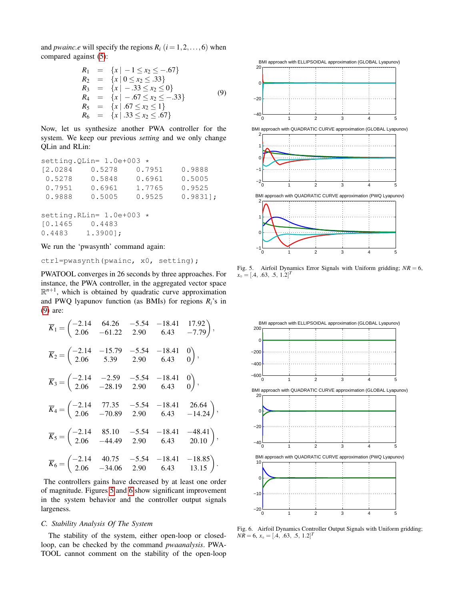and *pwainc.e* will specify the regions  $R_i$  ( $i = 1, 2, \ldots, 6$ ) when compared against [\(5\)](#page-1-3):

<span id="page-7-0"></span>
$$
R_1 = \{x \mid -1 \le x_2 \le -.67\}
$$
  
\n
$$
R_2 = \{x \mid 0 \le x_2 \le .33\}
$$
  
\n
$$
R_3 = \{x \mid -.33 \le x_2 \le 0\}
$$
  
\n
$$
R_4 = \{x \mid -.67 \le x_2 \le -.33\}
$$
  
\n
$$
R_5 = \{x \mid .67 \le x_2 \le 1\}
$$
  
\n
$$
R_6 = \{x \mid .33 \le x_2 \le .67\}
$$
  
\n(9)

Now, let us synthesize another PWA controller for the system. We keep our previous *setting* and we only change QLin and RLin:

|          | setting. QLin= $1.0e+003$ * |        |            |
|----------|-----------------------------|--------|------------|
| 12.0284  | 0.5278                      | 0.7951 | 0.9888     |
| 0.5278   | 0.5848                      | 0.6961 | 0.5005     |
| 0.7951   | 0.6961                      | 1.7765 | 0.9525     |
| 0.9888   | 0.5005                      | 0.9525 | $0.9831$ ; |
|          |                             |        |            |
|          | setting. RLin= $1.0e+003$ * |        |            |
| [0.1465] | 0.4483                      |        |            |
| 0.4483   | $1.3900$ ];                 |        |            |

We run the 'pwasynth' command again:

```
ctrl=pwasynth(pwainc, x0, setting);
```
PWATOOL converges in 26 seconds by three approaches. For instance, the PWA controller, in the aggregated vector space  $\mathbb{R}^{n+1}$ , which is obtained by quadratic curve approximation and PWQ lyapunov function (as BMIs) for regions  $R_i$ 's in [\(9\)](#page-7-0) are:

$$
\overline{K}_1 = \begin{pmatrix}\n-2.14 & 64.26 & -5.54 & -18.41 & 17.92 \\
2.06 & -61.22 & 2.90 & 6.43 & -7.79\n\end{pmatrix},
$$
\n
$$
\overline{K}_2 = \begin{pmatrix}\n-2.14 & -15.79 & -5.54 & -18.41 & 0 \\
2.06 & 5.39 & 2.90 & 6.43 & 0\n\end{pmatrix},
$$
\n
$$
\overline{K}_3 = \begin{pmatrix}\n-2.14 & -2.59 & -5.54 & -18.41 & 0 \\
2.06 & -28.19 & 2.90 & 6.43 & 0\n\end{pmatrix},
$$
\n
$$
\overline{K}_4 = \begin{pmatrix}\n-2.14 & 77.35 & -5.54 & -18.41 & 26.64 \\
2.06 & -70.89 & 2.90 & 6.43 & -14.24\n\end{pmatrix},
$$
\n
$$
\overline{K}_5 = \begin{pmatrix}\n-2.14 & 85.10 & -5.54 & -18.41 & -48.41 \\
2.06 & -44.49 & 2.90 & 6.43 & 20.10\n\end{pmatrix},
$$
\n
$$
\overline{K}_6 = \begin{pmatrix}\n-2.14 & 40.75 & -5.54 & -18.41 & -18.85 \\
2.06 & -34.06 & 2.90 & 6.43 & 13.15\n\end{pmatrix}.
$$

The controllers gains have decreased by at least one order of magnitude. Figures [5](#page-7-1) and [6](#page-7-2) show significant improvement in the system behavior and the controller output signals largeness.

# *C. Stability Analysis Of The System*

The stability of the system, either open-loop or closedloop, can be checked by the command *pwaanalysis*. PWA-TOOL cannot comment on the stability of the open-loop



<span id="page-7-1"></span>Fig. 5. Airfoil Dynamics Error Signals with Uniform gridding;  $NR = 6$ ,  $x_{\circ} = [.4, .63, .5, 1.2]^T$ 



<span id="page-7-2"></span>Fig. 6. Airfoil Dynamics Controller Output Signals with Uniform gridding;  $N\overline{R} = 6$ ,  $x_{\circ} = [.4, .63, .5, 1.2]^T$